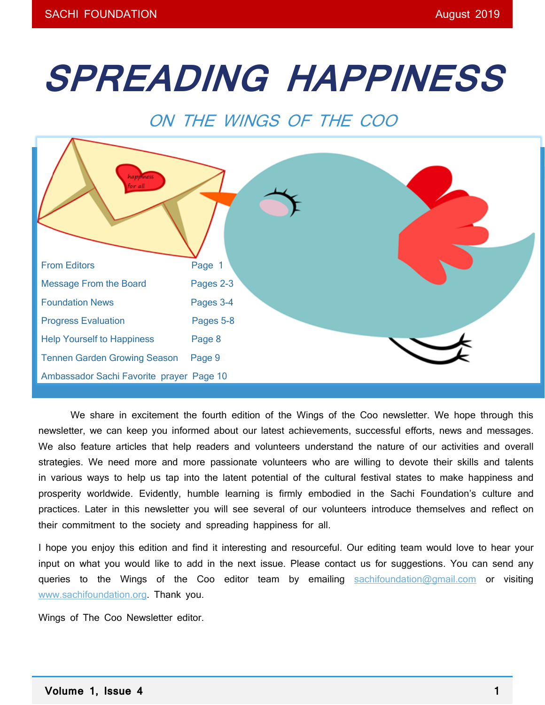# **SPREADING HAPPINESS**

# ON THE WINGS OF THE COO



We share in excitement the fourth edition of the Wings of the Coo newsletter. We hope through this newsletter, we can keep you informed about our latest achievements, successful efforts, news and messages. We also feature articles that help readers and volunteers understand the nature of our activities and overall strategies. We need more and more passionate volunteers who are willing to devote their skills and talents in various ways to help us tap into the latent potential of the cultural festival states to make happiness and prosperity worldwide. Evidently, humble learning is firmly embodied in the Sachi Foundation's culture and practices. Later in this newsletter you will see several of our volunteers introduce themselves and reflect on their commitment to the society and spreading happiness for all.

I hope you enjoy this edition and find it interesting and resourceful. Our editing team would love to hear your input on what you would like to add in the next issue. Please contact us for suggestions. You can send any queries to the Wings of the Coo editor team by emailing [sachifoundation@gmail.com](mailto:sachifoundation@gmail.com) or visiting [www.sachifoundation.org.](http://www.sachifoundation.org/) Thank you.

Wings of The Coo Newsletter editor.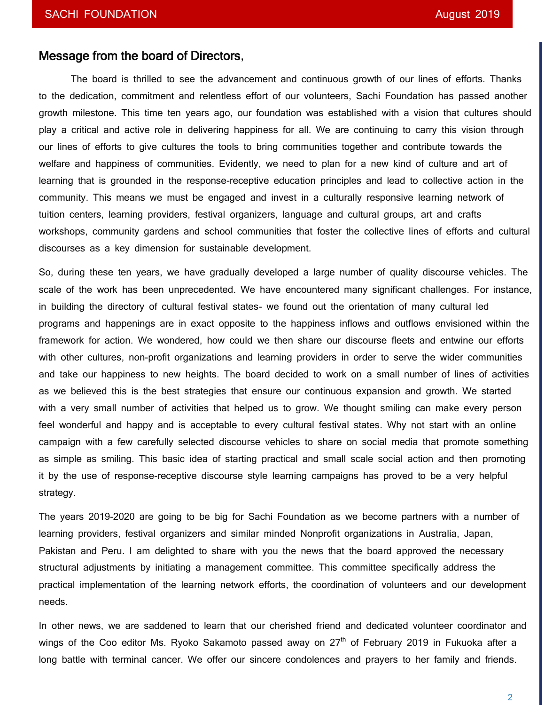# Message from the board of Directors,

The board is thrilled to see the advancement and continuous growth of our lines of efforts. Thanks to the dedication, commitment and relentless effort of our volunteers, Sachi Foundation has passed another growth milestone. This time ten years ago, our foundation was established with a vision that cultures should play a critical and active role in delivering happiness for all. We are continuing to carry this vision through our lines of efforts to give cultures the tools to bring communities together and contribute towards the welfare and happiness of communities. Evidently, we need to plan for a new kind of culture and art of learning that is grounded in the response-receptive education principles and lead to collective action in the community. This means we must be engaged and invest in a culturally responsive learning network of tuition centers, learning providers, festival organizers, language and cultural groups, art and crafts workshops, community gardens and school communities that foster the collective lines of efforts and cultural discourses as a key dimension for sustainable development.

So, during these ten years, we have gradually developed a large number of quality discourse vehicles. The scale of the work has been unprecedented. We have encountered many significant challenges. For instance, in building the directory of cultural festival states- we found out the orientation of many cultural led programs and happenings are in exact opposite to the happiness inflows and outflows envisioned within the framework for action. We wondered, how could we then share our discourse fleets and entwine our efforts with other cultures, non-profit organizations and learning providers in order to serve the wider communities and take our happiness to new heights. The board decided to work on a small number of lines of activities as we believed this is the best strategies that ensure our continuous expansion and growth. We started with a very small number of activities that helped us to grow. We thought smiling can make every person feel wonderful and happy and is acceptable to every cultural festival states. Why not start with an online campaign with a few carefully selected discourse vehicles to share on social media that promote something as simple as smiling. This basic idea of starting practical and small scale social action and then promoting it by the use of response-receptive discourse style learning campaigns has proved to be a very helpful strategy.

The years 2019-2020 are going to be big for Sachi Foundation as we become partners with a number of learning providers, festival organizers and similar minded Nonprofit organizations in Australia, Japan, Pakistan and Peru. I am delighted to share with you the news that the board approved the necessary structural adjustments by initiating a management committee. This committee specifically address the practical implementation of the learning network efforts, the coordination of volunteers and our development needs.

In other news, we are saddened to learn that our cherished friend and dedicated volunteer coordinator and wings of the Coo editor Ms. Ryoko Sakamoto passed away on 27<sup>th</sup> of February 2019 in Fukuoka after a long battle with terminal cancer. We offer our sincere condolences and prayers to her family and friends.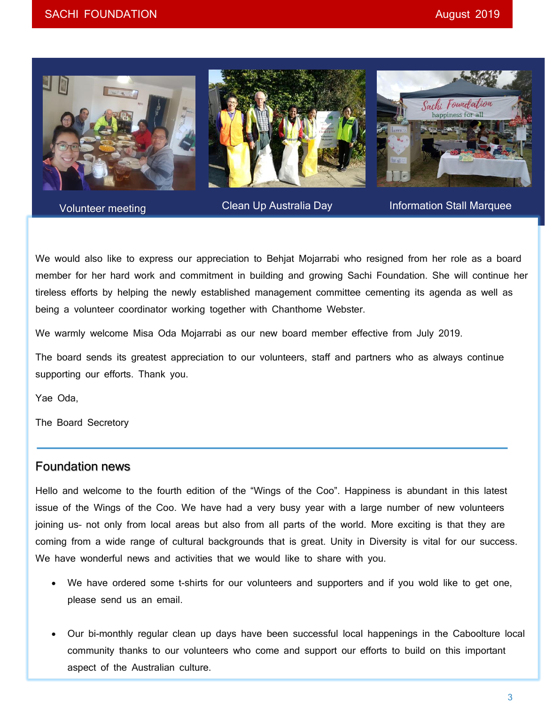

Volunteer meeting

Clean Up Australia Day **Information Stall Marquee** 

We would also like to express our appreciation to Behjat Mojarrabi who resigned from her role as a board member for her hard work and commitment in building and growing Sachi Foundation. She will continue her tireless efforts by helping the newly established management committee cementing its agenda as well as being a volunteer coordinator working together with Chanthome Webster.

We warmly welcome Misa Oda Mojarrabi as our new board member effective from July 2019.

The board sends its greatest appreciation to our volunteers, staff and partners who as always continue supporting our efforts. Thank you.

Yae Oda,

The Board Secretory

# Foundation news

Hello and welcome to the fourth edition of the "Wings of the Coo". Happiness is abundant in this latest issue of the Wings of the Coo. We have had a very busy year with a large number of new volunteers joining us- not only from local areas but also from all parts of the world. More exciting is that they are coming from a wide range of cultural backgrounds that is great. Unity in Diversity is vital for our success. We have wonderful news and activities that we would like to share with you.

- We have ordered some t-shirts for our volunteers and supporters and if you wold like to get one, please send us an email.
- Our bi-monthly regular clean up days have been successful local happenings in the Caboolture local community thanks to our volunteers who come and support our efforts to build on this important aspect of the Australian culture.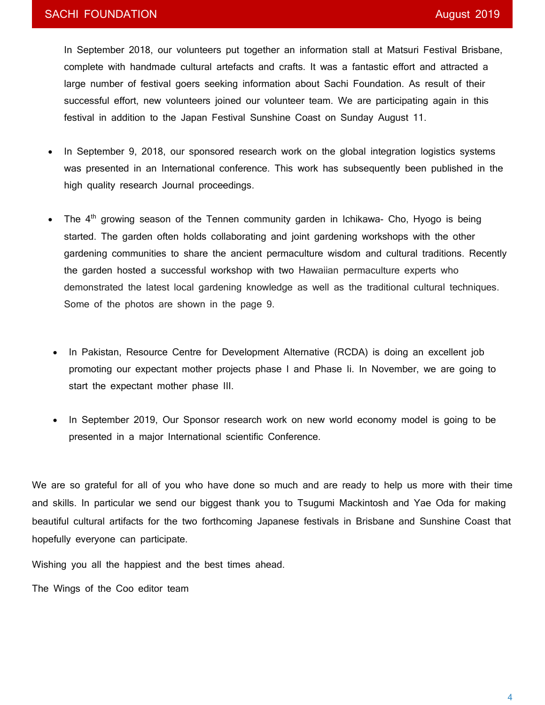In September 2018, our volunteers put together an information stall at Matsuri Festival Brisbane, complete with handmade cultural artefacts and crafts. It was a fantastic effort and attracted a large number of festival goers seeking information about Sachi Foundation. As result of their successful effort, new volunteers joined our volunteer team. We are participating again in this festival in addition to the Japan Festival Sunshine Coast on Sunday August 11.

- In September 9, 2018, our sponsored research work on the global integration logistics systems was presented in an International conference. This work has subsequently been published in the high quality research Journal proceedings.
- The  $4<sup>th</sup>$  growing season of the Tennen community garden in Ichikawa- Cho, Hyogo is being started. The garden often holds collaborating and joint gardening workshops with the other gardening communities to share the ancient permaculture wisdom and cultural traditions. Recently the garden hosted a successful workshop with two Hawaiian permaculture experts who demonstrated the latest local gardening knowledge as well as the traditional cultural techniques. Some of the photos are shown in the page 9.
- In Pakistan, Resource Centre for Development Alternative (RCDA) is doing an excellent job promoting our expectant mother projects phase I and Phase Ii. In November, we are going to start the expectant mother phase III.
- In September 2019, Our Sponsor research work on new world economy model is going to be presented in a major International scientific Conference.

We are so grateful for all of you who have done so much and are ready to help us more with their time and skills. In particular we send our biggest thank you to Tsugumi Mackintosh and Yae Oda for making beautiful cultural artifacts for the two forthcoming Japanese festivals in Brisbane and Sunshine Coast that hopefully everyone can participate.

Wishing you all the happiest and the best times ahead.

The Wings of the Coo editor team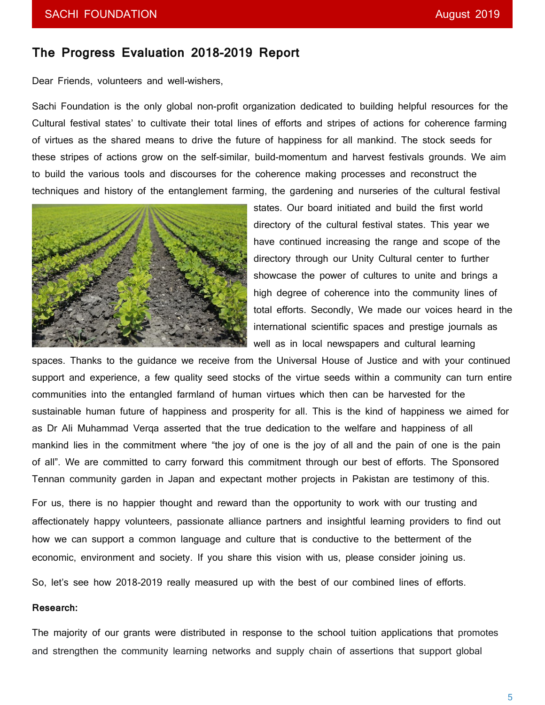# **The Progress Evaluation 2018-2019 Report**

Dear Friends, volunteers and well-wishers,

Sachi Foundation is the only global non-profit organization dedicated to building helpful resources for the Cultural festival states' to cultivate their total lines of efforts and stripes of actions for coherence farming of virtues as the shared means to drive the future of happiness for all mankind. The stock seeds for these stripes of actions grow on the self-similar, build-momentum and harvest festivals grounds. We aim to build the various tools and discourses for the coherence making processes and reconstruct the techniques and history of the entanglement farming, the gardening and nurseries of the cultural festival



states. Our board initiated and build the first world directory of the cultural festival states. This year we have continued increasing the range and scope of the directory through our Unity Cultural center to further showcase the power of cultures to unite and brings a high degree of coherence into the community lines of total efforts. Secondly, We made our voices heard in the international scientific spaces and prestige journals as well as in local newspapers and cultural learning

spaces. Thanks to the guidance we receive from the Universal House of Justice and with your continued support and experience, a few quality seed stocks of the virtue seeds within a community can turn entire communities into the entangled farmland of human virtues which then can be harvested for the sustainable human future of happiness and prosperity for all. This is the kind of happiness we aimed for as Dr Ali Muhammad Verqa asserted that the true dedication to the welfare and happiness of all mankind lies in the commitment where "the joy of one is the joy of all and the pain of one is the pain of all". We are committed to carry forward this commitment through our best of efforts. The Sponsored Tennan community garden in Japan and expectant mother projects in Pakistan are testimony of this.

For us, there is no happier thought and reward than the opportunity to work with our trusting and affectionately happy volunteers, passionate alliance partners and insightful learning providers to find out how we can support a common language and culture that is conductive to the betterment of the economic, environment and society. If you share this vision with us, please consider joining us.

So, let's see how 2018-2019 really measured up with the best of our combined lines of efforts.

#### **Research:**

The majority of our grants were distributed in response to the school tuition applications that promotes and strengthen the community learning networks and supply chain of assertions that support global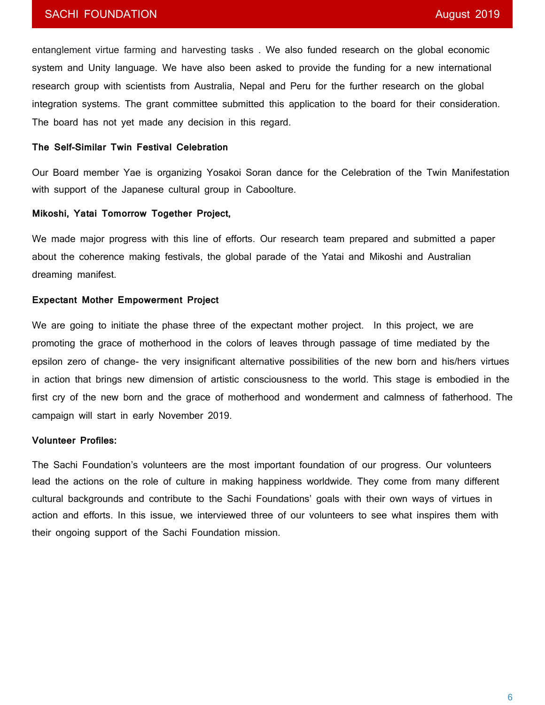## SACHI FOUNDATION **August 2019**

entanglement virtue farming and harvesting tasks . We also funded research on the global economic system and Unity language. We have also been asked to provide the funding for a new international research group with scientists from Australia, Nepal and Peru for the further research on the global integration systems. The grant committee submitted this application to the board for their consideration. The board has not yet made any decision in this regard.

#### **The Self-Similar Twin Festival Celebration**

Our Board member Yae is organizing Yosakoi Soran dance for the Celebration of the Twin Manifestation with support of the Japanese cultural group in Caboolture.

#### **Mikoshi, Yatai Tomorrow Together Project,**

We made major progress with this line of efforts. Our research team prepared and submitted a paper about the coherence making festivals, the global parade of the Yatai and Mikoshi and Australian dreaming manifest.

#### **Expectant Mother Empowerment Project**

We are going to initiate the phase three of the expectant mother project. In this project, we are promoting the grace of motherhood in the colors of leaves through passage of time mediated by the epsilon zero of change- the very insignificant alternative possibilities of the new born and his/hers virtues in action that brings new dimension of artistic consciousness to the world. This stage is embodied in the first cry of the new born and the grace of motherhood and wonderment and calmness of fatherhood. The campaign will start in early November 2019.

#### **Volunteer Profiles:**

The Sachi Foundation's volunteers are the most important foundation of our progress. Our volunteers lead the actions on the role of culture in making happiness worldwide. They come from many different cultural backgrounds and contribute to the Sachi Foundations' goals with their own ways of virtues in action and efforts. In this issue, we interviewed three of our volunteers to see what inspires them with their ongoing support of the Sachi Foundation mission.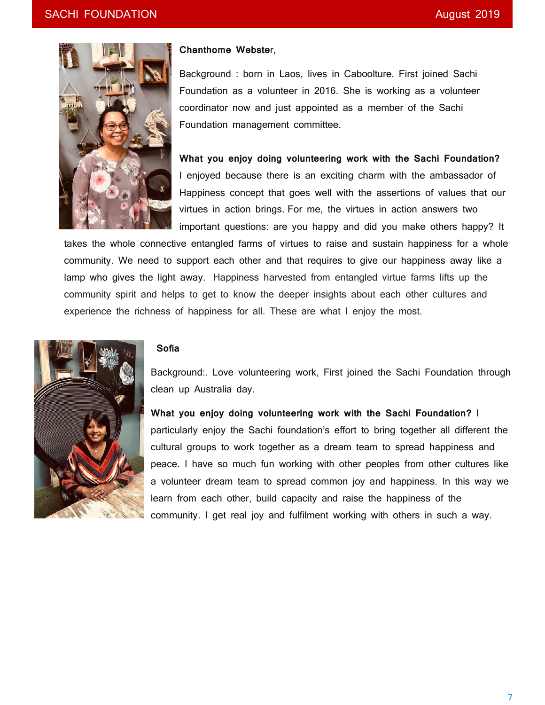

#### **Chanthome Webste**r,

Background : born in Laos, lives in Caboolture. First joined Sachi Foundation as a volunteer in 2016. She is working as a volunteer coordinator now and just appointed as a member of the Sachi Foundation management committee.

**What you enjoy doing volunteering work with the Sachi Foundation?** I enjoyed because there is an exciting charm with the ambassador of Happiness concept that goes well with the assertions of values that our virtues in action brings. For me, the virtues in action answers two important questions: are you happy and did you make others happy? It

takes the whole connective entangled farms of virtues to raise and sustain happiness for a whole community. We need to support each other and that requires to give our happiness away like a lamp who gives the light away. Happiness harvested from entangled virtue farms lifts up the community spirit and helps to get to know the deeper insights about each other cultures and experience the richness of happiness for all. These are what I enjoy the most.



#### **Sofia**

Background:. Love volunteering work, First joined the Sachi Foundation through clean up Australia day.

**What you enjoy doing volunteering work with the Sachi Foundation?** I particularly enjoy the Sachi foundation's effort to bring together all different the cultural groups to work together as a dream team to spread happiness and peace. I have so much fun working with other peoples from other cultures like a volunteer dream team to spread common joy and happiness. In this way we learn from each other, build capacity and raise the happiness of the community. I get real joy and fulfilment working with others in such a way.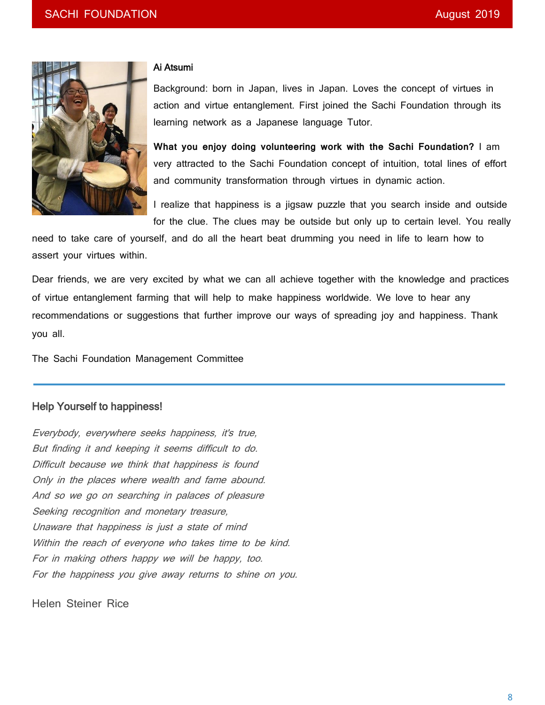

#### Ai Atsumi

Background: born in Japan, lives in Japan. Loves the concept of virtues in action and virtue entanglement. First joined the Sachi Foundation through its learning network as a Japanese language Tutor.

**What you enjoy doing volunteering work with the Sachi Foundation?** I am very attracted to the Sachi Foundation concept of intuition, total lines of effort and community transformation through virtues in dynamic action.

I realize that happiness is a jigsaw puzzle that you search inside and outside for the clue. The clues may be outside but only up to certain level. You really

need to take care of yourself, and do all the heart beat drumming you need in life to learn how to assert your virtues within.

Dear friends, we are very excited by what we can all achieve together with the knowledge and practices of virtue entanglement farming that will help to make happiness worldwide. We love to hear any recommendations or suggestions that further improve our ways of spreading joy and happiness. Thank you all.

The Sachi Foundation Management Committee

# Help Yourself to happiness!

Everybody, everywhere seeks happiness, it's true, But finding it and keeping it seems difficult to do. Difficult because we think that happiness is found Only in the places where wealth and fame abound. And so we go on searching in palaces of pleasure Seeking recognition and monetary treasure, Unaware that happiness is just a state of mind Within the reach of everyone who takes time to be kind. For in making others happy we will be happy, too. For the happiness you give away returns to shine on you.

Helen Steiner Rice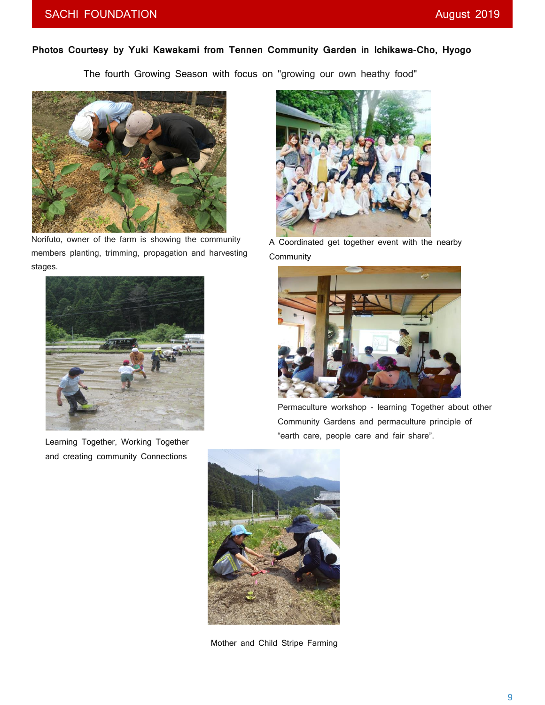## **Photos Courtesy by Yuki Kawakami from Tennen Community Garden in Ichikawa-Cho, Hyogo**

The fourth Growing Season with focus on "growing our own heathy food"



Norifuto, owner of the farm is showing the community members planting, trimming, propagation and harvesting stages.



Learning Together, Working Together and creating community Connections



A Coordinated get together event with the nearby **Community** 



Permaculture workshop - learning Together about other Community Gardens and permaculture principle of "earth care, people care and fair share".



Mother and Child Stripe Farming